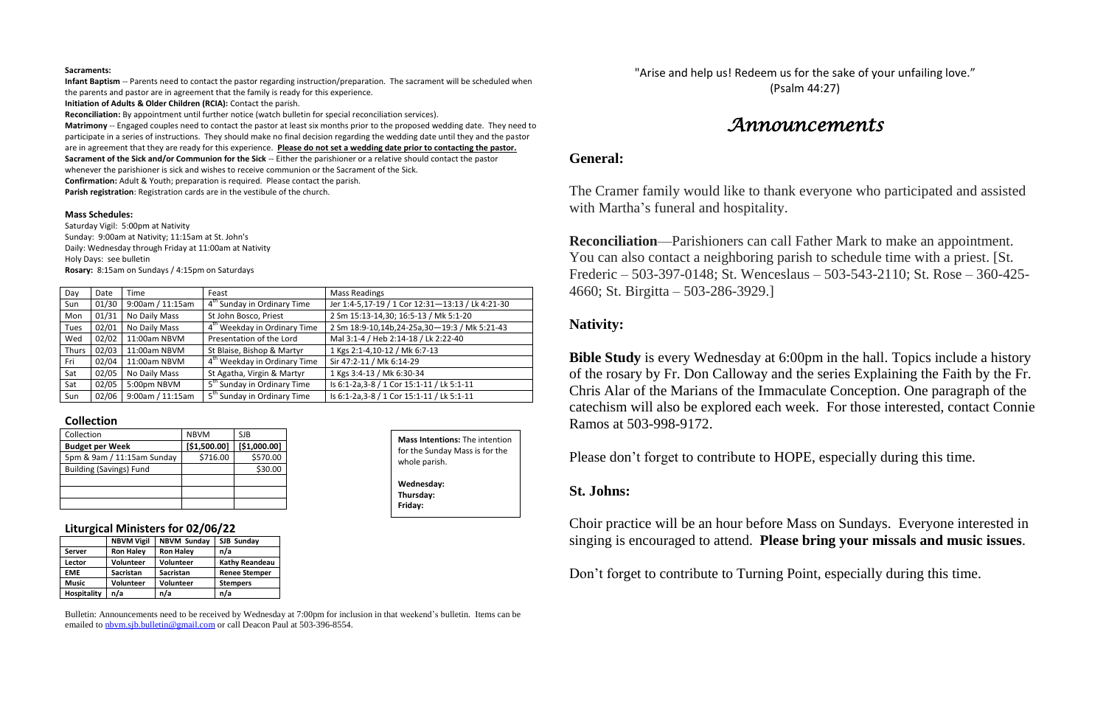#### **Sacraments:**

**Infant Baptism** -- Parents need to contact the pastor regarding instruction/preparation. The sacrament will be scheduled when the parents and pastor are in agreement that the family is ready for this experience.

**Initiation of Adults & Older Children (RCIA):** Contact the parish.

**Reconciliation:** By appointment until further notice (watch bulletin for special reconciliation services).

**Matrimony** -- Engaged couples need to contact the pastor at least six months prior to the proposed wedding date. They need to participate in a series of instructions. They should make no final decision regarding the wedding date until they and the pastor are in agreement that they are ready for this experience. **Please do not set a wedding date prior to contacting the pastor. Sacrament of the Sick and/or Communion for the Sick** -- Either the parishioner or a relative should contact the pastor whenever the parishioner is sick and wishes to receive communion or the Sacrament of the Sick.

**Confirmation:** Adult & Youth; preparation is required. Please contact the parish.

**Parish registration**: Registration cards are in the vestibule of the church.

#### **Mass Schedules:**

Saturday Vigil: 5:00pm at Nativity Sunday: 9:00am at Nativity; 11:15am at St. John's Daily: Wednesday through Friday at 11:00am at Nativity Holy Days: see bulletin **Rosary:** 8:15am on Sundays / 4:15pm on Saturdays

"Arise and help us! Redeem us for the sake of your unfailing love." (Psalm 44:27)

| Day          | Date  | Time             | Feast                                    | <b>Mass Readings</b>                             |
|--------------|-------|------------------|------------------------------------------|--------------------------------------------------|
| Sun          | 01/30 | 9:00am / 11:15am | 4 <sup>th</sup> Sunday in Ordinary Time  | Jer 1:4-5,17-19 / 1 Cor 12:31-13:13 / Lk 4:21-30 |
| Mon          | 01/31 | No Daily Mass    | St John Bosco, Priest                    | 2 Sm 15:13-14,30; 16:5-13 / Mk 5:1-20            |
| <b>Tues</b>  | 02/01 | No Daily Mass    | 4 <sup>th</sup> Weekday in Ordinary Time | 2 Sm 18:9-10,14b,24-25a,30-19:3 / Mk 5:21-43     |
| Wed          | 02/02 | 11:00am NBVM     | Presentation of the Lord                 | Mal 3:1-4 / Heb 2:14-18 / Lk 2:22-40             |
| <b>Thurs</b> | 02/03 | 11:00am NBVM     | St Blaise, Bishop & Martyr               | 1 Kgs 2:1-4,10-12 / Mk 6:7-13                    |
| Fri          | 02/04 | 11:00am NBVM     | 4 <sup>th</sup> Weekday in Ordinary Time | Sir 47:2-11 / Mk 6:14-29                         |
| Sat          | 02/05 | No Daily Mass    | St Agatha, Virgin & Martyr               | 1 Kgs 3:4-13 / Mk 6:30-34                        |
| Sat          | 02/05 | 5:00pm NBVM      | 5 <sup>th</sup> Sunday in Ordinary Time  | Is 6:1-2a, 3-8 / 1 Cor 15:1-11 / Lk 5:1-11       |
| Sun          | 02/06 | 9:00am / 11:15am | 5 <sup>th</sup> Sunday in Ordinary Time  | Is 6:1-2a, 3-8 / 1 Cor 15:1-11 / Lk 5:1-11       |

**Bible Study** is every Wednesday at 6:00pm in the hall. Topics include a history of the rosary by Fr. Don Calloway and the series Explaining the Faith by the Fr. Chris Alar of the Marians of the Immaculate Conception. One paragraph of the catechism will also be explored each week. For those interested, contact Connie Ramos at 503-998-9172.

### **Collection**

| Collection                     | <b>NBVM</b>  | SJB          |
|--------------------------------|--------------|--------------|
| <b>Budget per Week</b>         | [\$1,500.00] | [\$1,000.00] |
| 5pm & 9am / 11:15am Sunday     | \$716.00     | \$570.00     |
| <b>Building (Savings) Fund</b> |              | \$30.00      |
|                                |              |              |
|                                |              |              |
|                                |              |              |

#### **Liturgical Ministers for 02/06/22**

|                    | <b>NBVM Vigil</b> | <b>NBVM Sunday</b> | SJB Sunday            |  |
|--------------------|-------------------|--------------------|-----------------------|--|
| Server             | <b>Ron Haley</b>  | <b>Ron Haley</b>   | n/a                   |  |
| Lector             | <b>Volunteer</b>  | <b>Volunteer</b>   | <b>Kathy Reandeau</b> |  |
| <b>EME</b>         | <b>Sacristan</b>  | <b>Sacristan</b>   | <b>Renee Stemper</b>  |  |
| <b>Music</b>       | <b>Volunteer</b>  | Volunteer          | <b>Stempers</b>       |  |
| <b>Hospitality</b> | n/a               | n/a                | n/a                   |  |

Bulletin: Announcements need to be received by Wednesday at 7:00pm for inclusion in that weekend's bulletin. Items can be emailed to [nbvm.sjb.bulletin@gmail.com](mailto:nbvm.sjb.bulletin@gmail.com) or call Deacon Paul at 503-396-8554.

# *Announcements*

## **General:**

The Cramer family would like to thank everyone who participated and assisted with Martha's funeral and hospitality.

**Reconciliation**—Parishioners can call Father Mark to make an appointment. You can also contact a neighboring parish to schedule time with a priest. [St. Frederic – 503-397-0148; St. Wenceslaus – 503-543-2110; St. Rose – 360-425- 4660; St. Birgitta – 503-286-3929.]

## **Nativity:**

Please don't forget to contribute to HOPE, especially during this time.

## **St. Johns:**

Choir practice will be an hour before Mass on Sundays. Everyone interested in singing is encouraged to attend. **Please bring your missals and music issues**.

Don't forget to contribute to Turning Point, especially during this time.

**Mass Intentions:** The intention for the Sunday Mass is for the whole parish. **Wednesday: Thursday: Friday:**